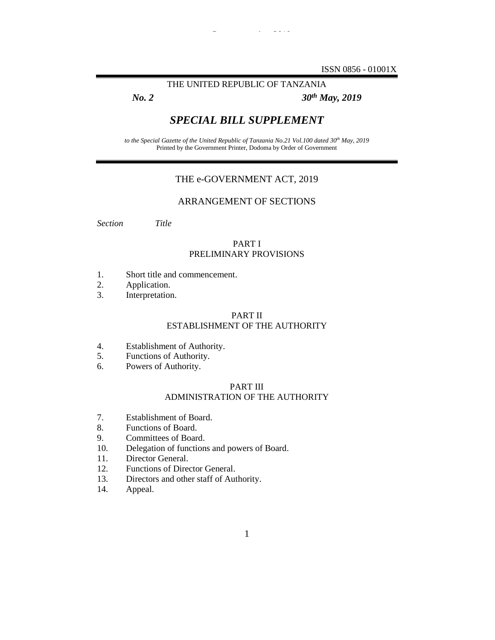ISSN 0856 - 01001X

## THE UNITED REPUBLIC OF TANZANIA

*e-Government Act, 2019*

*No. 2 30th May, 2019*

## *SPECIAL BILL SUPPLEMENT*

*to the Special Gazette of the United Republic of Tanzania No.21 Vol.100 dated 30th May, 2019* Printed by the Government Printer, Dodoma by Order of Government

## THE e-GOVERNMENT ACT, 2019

## ARRANGEMENT OF SECTIONS

*Section Title*

## PART I PRELIMINARY PROVISIONS

- 1. Short title and commencement.
- 2. Application.
- 3. Interpretation.

## PART II ESTABLISHMENT OF THE AUTHORITY

- 4. Establishment of Authority.
- 5. Functions of Authority.
- 6. Powers of Authority.

#### PART III ADMINISTRATION OF THE AUTHORITY

- 7. Establishment of Board.
- 8. Functions of Board.
- 9. Committees of Board.
- 10. Delegation of functions and powers of Board.
- 11. Director General.
- 12. Functions of Director General.
- 13. Directors and other staff of Authority.
- 14. Appeal.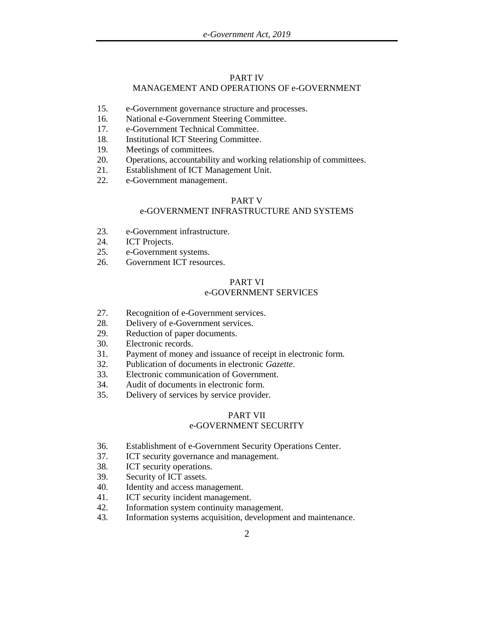### PART IV MANAGEMENT AND OPERATIONS OF e-GOVERNMENT

- 15. e-Government governance structure and processes.
- 16. National e-Government Steering Committee.
- 17. e-Government Technical Committee.
- 18. Institutional ICT Steering Committee.
- 19. Meetings of committees.
- 20. Operations, accountability and working relationship of committees.
- 21. Establishment of ICT Management Unit.
- 22. e-Government management.

### PART V

### e-GOVERNMENT INFRASTRUCTURE AND SYSTEMS

- 23. e-Government infrastructure.
- 24. ICT Projects.
- 25. e-Government systems.
- 26. Government ICT resources.

## PART VI e-GOVERNMENT SERVICES

- 27. Recognition of e-Government services.
- 28. Delivery of e-Government services.
- 29. Reduction of paper documents.
- 30. Electronic records.
- 31. Payment of money and issuance of receipt in electronic form.
- 32. Publication of documents in electronic *Gazette*.
- 33. Electronic communication of Government.
- 34. Audit of documents in electronic form.
- 35. Delivery of services by service provider.

### PART VII

## e-GOVERNMENT SECURITY

- 36. Establishment of e-Government Security Operations Center.
- 37. ICT security governance and management.
- 38. ICT security operations.
- 39. Security of ICT assets.
- 40. Identity and access management.
- 41. ICT security incident management.
- 42. Information system continuity management.
- 43. Information systems acquisition, development and maintenance.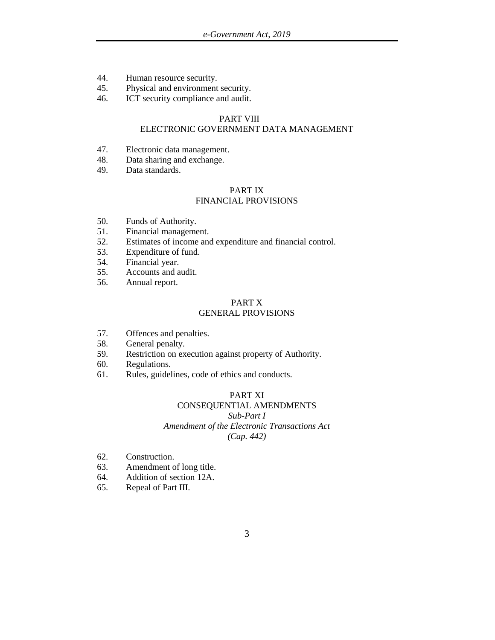- 44. Human resource security.
- 45. Physical and environment security.
- 46. ICT security compliance and audit.

#### PART VIII

## ELECTRONIC GOVERNMENT DATA MANAGEMENT

- 47. Electronic data management.
- 48. Data sharing and exchange.
- 49. Data standards.

# PART IX

## FINANCIAL PROVISIONS

- 50. Funds of Authority.
- 51. Financial management.
- 52. Estimates of income and expenditure and financial control.
- 53. Expenditure of fund.
- 54. Financial year.
- 55. Accounts and audit.
- 56. Annual report.

#### PART X GENERAL PROVISIONS

- 57. Offences and penalties.
- 58. General penalty.
- 59. Restriction on execution against property of Authority.
- 60. Regulations.
- 61. Rules, guidelines, code of ethics and conducts.

## PART XI

## CONSEQUENTIAL AMENDMENTS *Sub-Part I Amendment of the Electronic Transactions Act (Cap. 442)*

- 62. Construction.
- 63. Amendment of long title.
- 64. Addition of section 12A.
- 65. Repeal of Part III.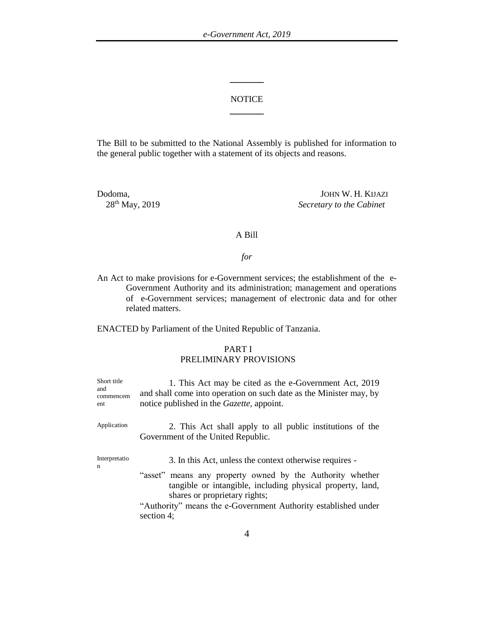## **NOTICE \_\_\_\_\_\_\_**

**\_\_\_\_\_\_\_**

The Bill to be submitted to the National Assembly is published for information to the general public together with a statement of its objects and reasons.

Dodoma, JOHN W. H. KIJAZI<br>28<sup>th</sup> May, 2019 Secretary to the Cabinet  $S$ *ecretary to the Cabinet* 

## A Bill

*for*

An Act to make provisions for e-Government services; the establishment of the e-Government Authority and its administration; management and operations of e-Government services; management of electronic data and for other related matters.

ENACTED by Parliament of the United Republic of Tanzania.

## PART I PRELIMINARY PROVISIONS

| Short title<br>and<br>commencem<br>ent | 1. This Act may be cited as the e-Government Act, 2019<br>and shall come into operation on such date as the Minister may, by<br>notice published in the <i>Gazette</i> , appoint.                                                                                                                   |
|----------------------------------------|-----------------------------------------------------------------------------------------------------------------------------------------------------------------------------------------------------------------------------------------------------------------------------------------------------|
| Application                            | 2. This Act shall apply to all public institutions of the<br>Government of the United Republic.                                                                                                                                                                                                     |
| Interpretatio<br>n                     | 3. In this Act, unless the context otherwise requires -<br>"asset" means any property owned by the Authority whether<br>tangible or intangible, including physical property, land,<br>shares or proprietary rights;<br>"Authority" means the e-Government Authority established under<br>section 4; |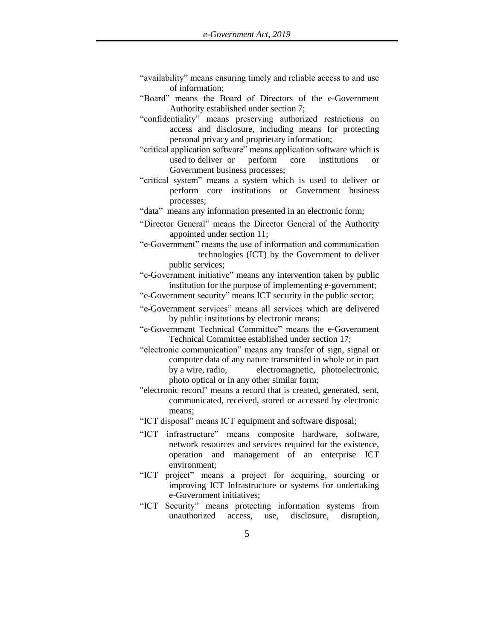- "availability" means ensuring timely and reliable access to and use of information;
- "Board" means the Board of Directors of the e-Government Authority established under section 7;
- "confidentiality" means preserving authorized restrictions on access and disclosure, including means for protecting personal privacy and proprietary information;
- "critical application software" means application software which is used to deliver or perform core institutions Government business processes;
- "critical system" means a system which is used to deliver or perform core institutions or Government business processes;
- "data" means any information presented in an electronic form;
- "Director General" means the Director General of the Authority appointed under section 11;
- "e-Government" means the use of information and communication technologies (ICT) by the Government to deliver public services;
- "e-Government initiative" means any intervention taken by public institution for the purpose of implementing e-government;
- "e-Government security" means ICT security in the public sector;
- "e-Government services" means all services which are delivered by public institutions by electronic means;
- "e-Government Technical Committee" means the e-Government Technical Committee established under section 17;
- "electronic communication" means any transfer of sign, signal or computer data of any nature transmitted in whole or in part by a wire, radio, electromagnetic, photoelectronic, photo optical or in any other similar form;
- "electronic record" means a record that is created, generated, sent, communicated, received, stored or accessed by electronic means;
- "ICT disposal" means ICT equipment and software disposal;
- "ICT infrastructure" means composite hardware, software, network resources and services required for the existence, operation and management of an enterprise ICT environment;
- "ICT project" means a project for acquiring, sourcing or improving ICT Infrastructure or systems for undertaking e-Government initiatives;
- "ICT Security" means protecting information systems from unauthorized access, use, disclosure, disruption,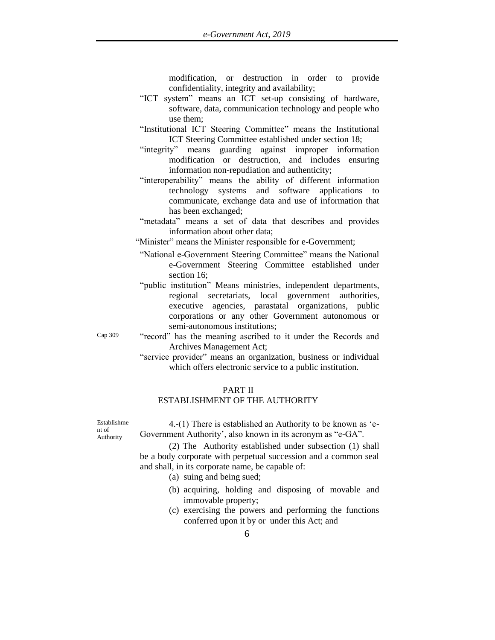modification, or destruction in order to provide confidentiality, integrity and availability;

- "ICT system" means an ICT set-up consisting of hardware, software, data, communication technology and people who use them;
- "Institutional ICT Steering Committee" means the Institutional ICT Steering Committee established under section 18;
- "integrity" means guarding against improper information modification or destruction, and includes ensuring information non-repudiation and authenticity;
- "interoperability" means the ability of different information technology systems and software applications to communicate, exchange data and use of information that has been exchanged;
- "metadata" means a set of data that describes and provides information about other data;
- "Minister" means the Minister responsible for e-Government;
- "National e-Government Steering Committee" means the National e-Government Steering Committee established under section 16;
- "public institution" Means ministries, independent departments, regional secretariats, local government authorities, executive agencies, parastatal organizations, public corporations or any other Government autonomous or semi-autonomous institutions;
- Cap 309 "record" has the meaning ascribed to it under the Records and Archives Management Act;
	- "service provider" means an organization, business or individual which offers electronic service to a public institution.

### PART II

## ESTABLISHMENT OF THE AUTHORITY

Establishme nt of Authority

4.-(1) There is established an Authority to be known as 'e-Government Authority', also known in its acronym as "e-GA".

(2) The Authority established under subsection (1) shall be a body corporate with perpetual succession and a common seal and shall, in its corporate name, be capable of:

(a) suing and being sued;

- (b) acquiring, holding and disposing of movable and immovable property;
- (c) exercising the powers and performing the functions conferred upon it by or under this Act; and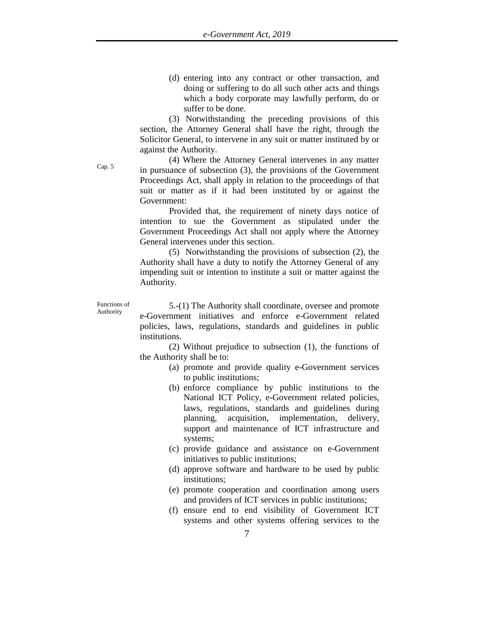(d) entering into any contract or other transaction, and doing or suffering to do all such other acts and things which a body corporate may lawfully perform, do or suffer to be done.

(3) Notwithstanding the preceding provisions of this section, the Attorney General shall have the right, through the Solicitor General, to intervene in any suit or matter instituted by or against the Authority.

(4) Where the Attorney General intervenes in any matter in pursuance of subsection (3), the provisions of the Government Proceedings Act, shall apply in relation to the proceedings of that suit or matter as if it had been instituted by or against the Government:

Provided that, the requirement of ninety days notice of intention to sue the Government as stipulated under the Government Proceedings Act shall not apply where the Attorney General intervenes under this section.

(5) Notwithstanding the provisions of subsection (2), the Authority shall have a duty to notify the Attorney General of any impending suit or intention to institute a suit or matter against the Authority.

Functions of Authority

5.-(1) The Authority shall coordinate, oversee and promote e-Government initiatives and enforce e-Government related policies, laws, regulations, standards and guidelines in public institutions.

(2) Without prejudice to subsection (1), the functions of the Authority shall be to:

- (a) promote and provide quality e-Government services to public institutions;
- (b) enforce compliance by public institutions to the National ICT Policy, e-Government related policies, laws, regulations, standards and guidelines during planning, acquisition, implementation, delivery, support and maintenance of ICT infrastructure and systems;
- (c) provide guidance and assistance on e-Government initiatives to public institutions;
- (d) approve software and hardware to be used by public institutions;
- (e) promote cooperation and coordination among users and providers of ICT services in public institutions;
- (f) ensure end to end visibility of Government ICT systems and other systems offering services to the

Cap. 5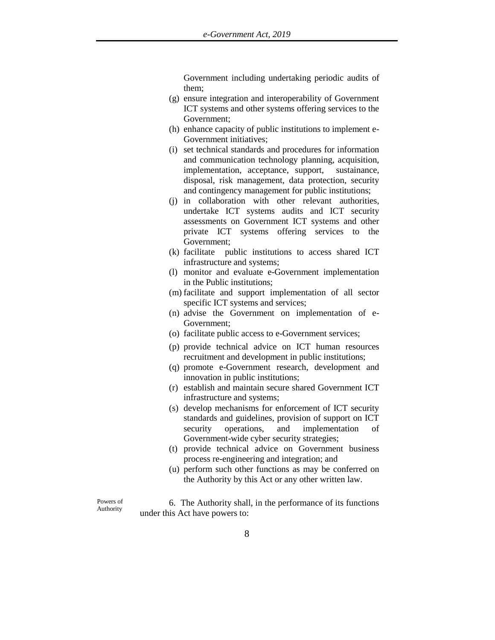Government including undertaking periodic audits of them;

- (g) ensure integration and interoperability of Government ICT systems and other systems offering services to the Government;
- (h) enhance capacity of public institutions to implement e-Government initiatives;
- (i) set technical standards and procedures for information and communication technology planning, acquisition, implementation, acceptance, support, sustainance, disposal, risk management, data protection, security and contingency management for public institutions;
- (j) in collaboration with other relevant authorities, undertake ICT systems audits and ICT security assessments on Government ICT systems and other private ICT systems offering services to the Government;
- (k) facilitate public institutions to access shared ICT infrastructure and systems;
- (l) monitor and evaluate e-Government implementation in the Public institutions;
- (m) facilitate and support implementation of all sector specific ICT systems and services;
- (n) advise the Government on implementation of e-Government;
- (o) facilitate public access to e-Government services;
- (p) provide technical advice on ICT human resources recruitment and development in public institutions;
- (q) promote e-Government research, development and innovation in public institutions;
- (r) establish and maintain secure shared Government ICT infrastructure and systems;
- (s) develop mechanisms for enforcement of ICT security standards and guidelines, provision of support on ICT security operations, and implementation of Government-wide cyber security strategies;
- (t) provide technical advice on Government business process re-engineering and integration; and
- (u) perform such other functions as may be conferred on the Authority by this Act or any other written law.

Powers of Authority

6. The Authority shall, in the performance of its functions under this Act have powers to: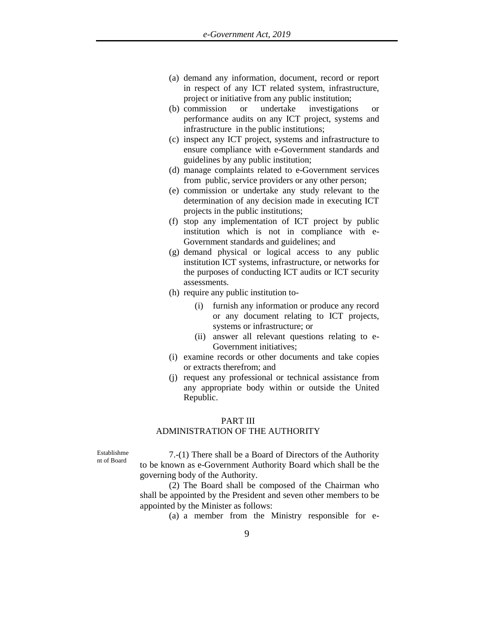- (a) demand any information, document, record or report in respect of any ICT related system, infrastructure, project or initiative from any public institution;
- (b) commission or undertake investigations or performance audits on any ICT project, systems and infrastructure in the public institutions;
- (c) inspect any ICT project, systems and infrastructure to ensure compliance with e-Government standards and guidelines by any public institution;
- (d) manage complaints related to e-Government services from public, service providers or any other person;
- (e) commission or undertake any study relevant to the determination of any decision made in executing ICT projects in the public institutions;
- (f) stop any implementation of ICT project by public institution which is not in compliance with e-Government standards and guidelines; and
- (g) demand physical or logical access to any public institution ICT systems, infrastructure, or networks for the purposes of conducting ICT audits or ICT security assessments.
- (h) require any public institution to-
	- (i) furnish any information or produce any record or any document relating to ICT projects, systems or infrastructure; or
	- (ii) answer all relevant questions relating to e-Government initiatives;
- (i) examine records or other documents and take copies or extracts therefrom; and
- (j) request any professional or technical assistance from any appropriate body within or outside the United Republic.

#### PART III

#### ADMINISTRATION OF THE AUTHORITY

Establishme nt of Board

7.-(1) There shall be a Board of Directors of the Authority to be known as e-Government Authority Board which shall be the governing body of the Authority.

(2) The Board shall be composed of the Chairman who shall be appointed by the President and seven other members to be appointed by the Minister as follows:

(a) a member from the Ministry responsible for e-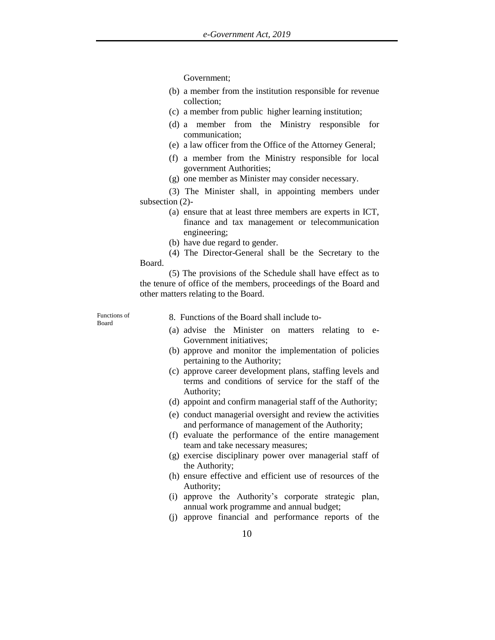Government;

- (b) a member from the institution responsible for revenue collection;
- (c) a member from public higher learning institution;
- (d) a member from the Ministry responsible for communication;
- (e) a law officer from the Office of the Attorney General;
- (f) a member from the Ministry responsible for local government Authorities;
- (g) one member as Minister may consider necessary.

(3) The Minister shall, in appointing members under subsection (2)-

- (a) ensure that at least three members are experts in ICT, finance and tax management or telecommunication engineering;
- (b) have due regard to gender.
- (4) The Director-General shall be the Secretary to the Board.

(5) The provisions of the Schedule shall have effect as to the tenure of office of the members, proceedings of the Board and other matters relating to the Board.

Functions of Board

8. Functions of the Board shall include to-

- (a) advise the Minister on matters relating to e-Government initiatives;
- (b) approve and monitor the implementation of policies pertaining to the Authority;
- (c) approve career development plans, staffing levels and terms and conditions of service for the staff of the Authority;
- (d) appoint and confirm managerial staff of the Authority;
- (e) conduct managerial oversight and review the activities and performance of management of the Authority;
- (f) evaluate the performance of the entire management team and take necessary measures;
- (g) exercise disciplinary power over managerial staff of the Authority;
- (h) ensure effective and efficient use of resources of the Authority;
- (i) approve the Authority's corporate strategic plan, annual work programme and annual budget;
- (j) approve financial and performance reports of the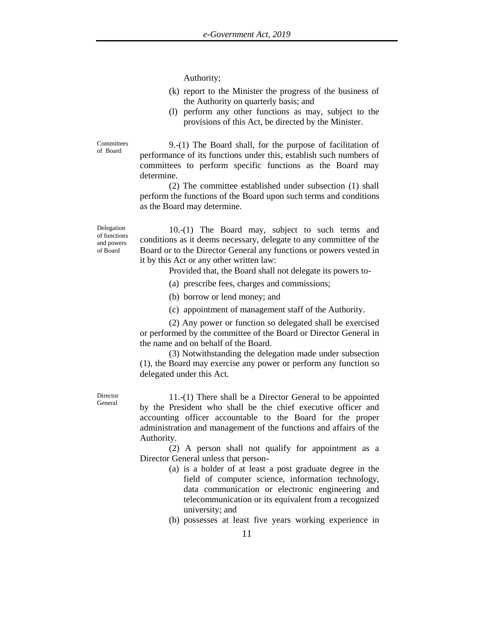Authority;

- (k) report to the Minister the progress of the business of the Authority on quarterly basis; and
- (l) perform any other functions as may, subject to the provisions of this Act, be directed by the Minister.

**Committees** of Board

9.-(1) The Board shall, for the purpose of facilitation of performance of its functions under this, establish such numbers of committees to perform specific functions as the Board may determine.

(2) The committee established under subsection (1) shall perform the functions of the Board upon such terms and conditions as the Board may determine.

Delegation of functions and powers of Board

10.-(1) The Board may, subject to such terms and conditions as it deems necessary, delegate to any committee of the Board or to the Director General any functions or powers vested in it by this Act or any other written law:

Provided that, the Board shall not delegate its powers to-

(a) prescribe fees, charges and commissions;

(b) borrow or lend money; and

(c) appointment of management staff of the Authority.

(2) Any power or function so delegated shall be exercised or performed by the committee of the Board or Director General in the name and on behalf of the Board.

(3) Notwithstanding the delegation made under subsection (1), the Board may exercise any power or perform any function so delegated under this Act.

Director General

11.-(1) There shall be a Director General to be appointed by the President who shall be the chief executive officer and accounting officer accountable to the Board for the proper administration and management of the functions and affairs of the Authority.

(2) A person shall not qualify for appointment as a Director General unless that person-

- (a) is a holder of at least a post graduate degree in the field of computer science, information technology, data communication or electronic engineering and telecommunication or its equivalent from a recognized university; and
- (b) possesses at least five years working experience in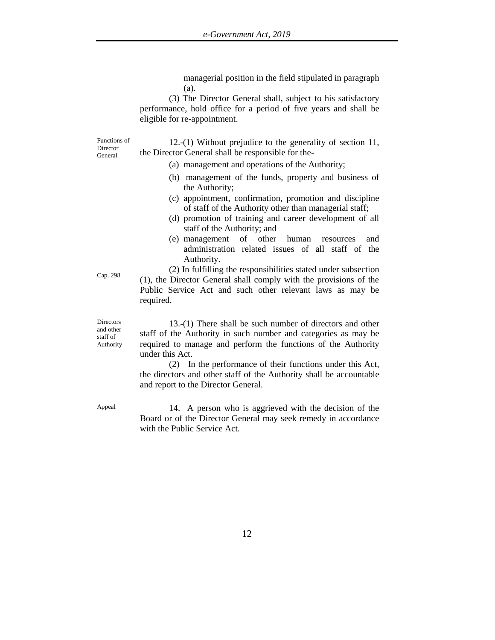managerial position in the field stipulated in paragraph (a).

(3) The Director General shall, subject to his satisfactory performance, hold office for a period of five years and shall be eligible for re-appointment.

Functions of Director General

12.-(1) Without prejudice to the generality of section 11, the Director General shall be responsible for the-

- (a) management and operations of the Authority;
- (b) management of the funds, property and business of the Authority;
- (c) appointment, confirmation, promotion and discipline of staff of the Authority other than managerial staff;
- (d) promotion of training and career development of all staff of the Authority; and
- (e) management of other human resources and administration related issues of all staff of the Authority.

(2) In fulfilling the responsibilities stated under subsection (1), the Director General shall comply with the provisions of the Public Service Act and such other relevant laws as may be required.

**Directors** and other staff of Authority

Cap. 298

13.-(1) There shall be such number of directors and other staff of the Authority in such number and categories as may be required to manage and perform the functions of the Authority under this Act.

(2) In the performance of their functions under this Act, the directors and other staff of the Authority shall be accountable and report to the Director General.

Appeal 14. A person who is aggrieved with the decision of the Board or of the Director General may seek remedy in accordance with the Public Service Act.

12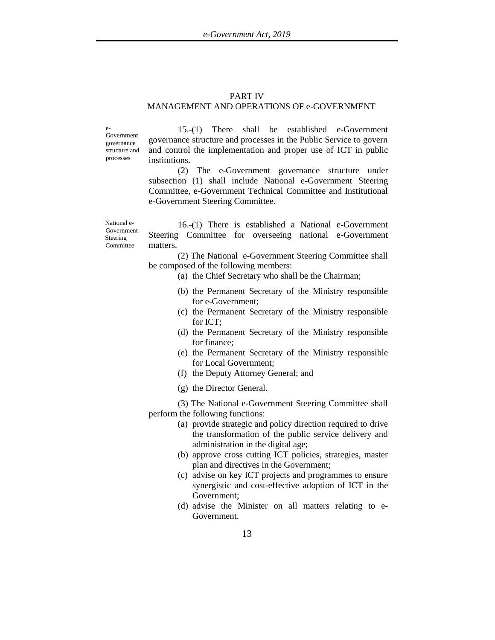#### PART IV

#### MANAGEMENT AND OPERATIONS OF e-GOVERNMENT

e-Government governance structure and processes

15.-(1) There shall be established e-Government governance structure and processes in the Public Service to govern and control the implementation and proper use of ICT in public institutions.

(2) The e-Government governance structure under subsection (1) shall include National e-Government Steering Committee, e-Government Technical Committee and Institutional e-Government Steering Committee.

National e-Government Steering **Committee** 

16.-(1) There is established a National e-Government Steering Committee for overseeing national e-Government matters.

(2) The National e-Government Steering Committee shall be composed of the following members:

(a) the Chief Secretary who shall be the Chairman;

- (b) the Permanent Secretary of the Ministry responsible for e-Government;
- (c) the Permanent Secretary of the Ministry responsible for ICT;
- (d) the Permanent Secretary of the Ministry responsible for finance;
- (e) the Permanent Secretary of the Ministry responsible for Local Government;
- (f) the Deputy Attorney General; and
- (g) the Director General.

(3) The National e-Government Steering Committee shall perform the following functions:

- (a) provide strategic and policy direction required to drive the transformation of the public service delivery and administration in the digital age;
- (b) approve cross cutting ICT policies, strategies, master plan and directives in the Government;
- (c) advise on key ICT projects and programmes to ensure synergistic and cost-effective adoption of ICT in the Government;
- (d) advise the Minister on all matters relating to e-Government.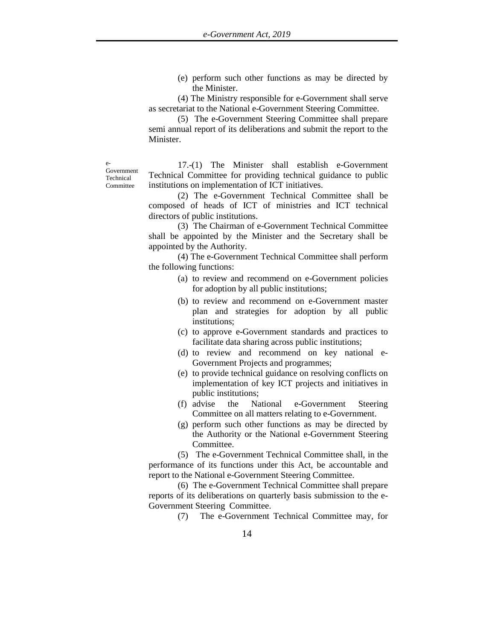(e) perform such other functions as may be directed by the Minister.

(4) The Ministry responsible for e-Government shall serve as secretariat to the National e-Government Steering Committee.

(5) The e-Government Steering Committee shall prepare semi annual report of its deliberations and submit the report to the Minister.

e-Government Technical Committee

17.-(1) The Minister shall establish e-Government Technical Committee for providing technical guidance to public institutions on implementation of ICT initiatives.

(2) The e-Government Technical Committee shall be composed of heads of ICT of ministries and ICT technical directors of public institutions.

(3) The Chairman of e-Government Technical Committee shall be appointed by the Minister and the Secretary shall be appointed by the Authority.

(4) The e-Government Technical Committee shall perform the following functions:

- (a) to review and recommend on e-Government policies for adoption by all public institutions;
- (b) to review and recommend on e-Government master plan and strategies for adoption by all public institutions;
- (c) to approve e-Government standards and practices to facilitate data sharing across public institutions;
- (d) to review and recommend on key national e-Government Projects and programmes;
- (e) to provide technical guidance on resolving conflicts on implementation of key ICT projects and initiatives in public institutions;
- (f) advise the National e-Government Steering Committee on all matters relating to e-Government.
- (g) perform such other functions as may be directed by the Authority or the National e-Government Steering Committee.

(5) The e-Government Technical Committee shall, in the performance of its functions under this Act, be accountable and report to the National e-Government Steering Committee.

(6) The e-Government Technical Committee shall prepare reports of its deliberations on quarterly basis submission to the e-Government Steering Committee.

(7) The e-Government Technical Committee may, for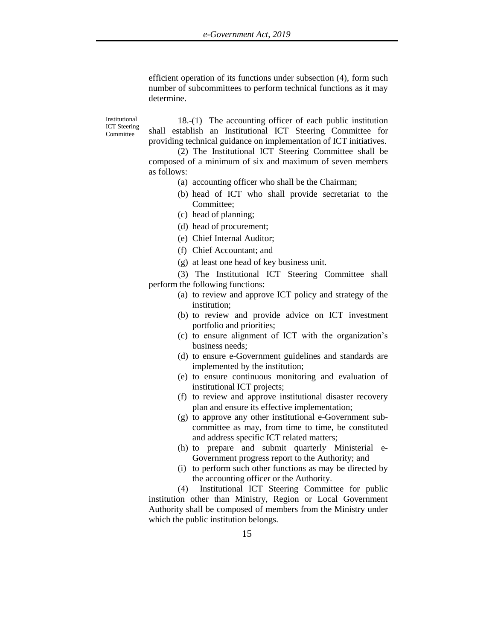efficient operation of its functions under subsection (4), form such number of subcommittees to perform technical functions as it may determine.

Institutional ICT Steering Committee

18.-(1) The accounting officer of each public institution shall establish an Institutional ICT Steering Committee for providing technical guidance on implementation of ICT initiatives.

(2) The Institutional ICT Steering Committee shall be composed of a minimum of six and maximum of seven members as follows:

- (a) accounting officer who shall be the Chairman;
	- (b) head of ICT who shall provide secretariat to the Committee;
	- (c) head of planning;
- (d) head of procurement;
- (e) Chief Internal Auditor;
- (f) Chief Accountant; and
- (g) at least one head of key business unit.

(3) The Institutional ICT Steering Committee shall perform the following functions:

- (a) to review and approve ICT policy and strategy of the institution;
- (b) to review and provide advice on ICT investment portfolio and priorities;
- (c) to ensure alignment of ICT with the organization's business needs;
- (d) to ensure e-Government guidelines and standards are implemented by the institution;
- (e) to ensure continuous monitoring and evaluation of institutional ICT projects;
- (f) to review and approve institutional disaster recovery plan and ensure its effective implementation;
- (g) to approve any other institutional e-Government subcommittee as may, from time to time, be constituted and address specific ICT related matters;
- (h) to prepare and submit quarterly Ministerial e-Government progress report to the Authority; and
- (i) to perform such other functions as may be directed by the accounting officer or the Authority.

(4) Institutional ICT Steering Committee for public institution other than Ministry, Region or Local Government Authority shall be composed of members from the Ministry under which the public institution belongs.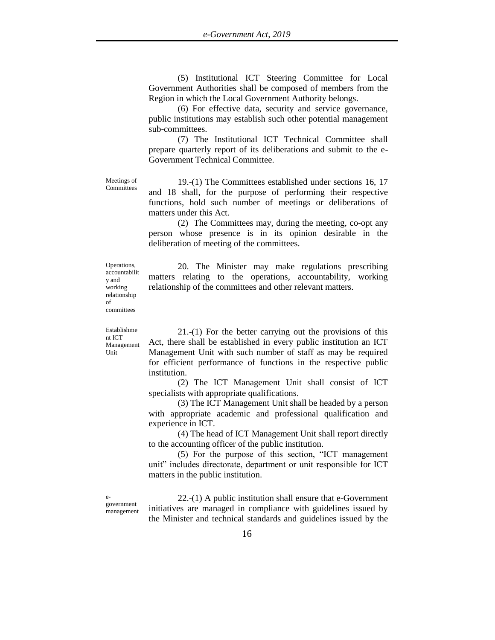(5) Institutional ICT Steering Committee for Local Government Authorities shall be composed of members from the Region in which the Local Government Authority belongs.

(6) For effective data, security and service governance, public institutions may establish such other potential management sub-committees.

(7) The Institutional ICT Technical Committee shall prepare quarterly report of its deliberations and submit to the e-Government Technical Committee.

Meetings of Committees

19.-(1) The Committees established under sections 16, 17 and 18 shall, for the purpose of performing their respective functions, hold such number of meetings or deliberations of matters under this Act.

(2) The Committees may, during the meeting, co-opt any person whose presence is in its opinion desirable in the deliberation of meeting of the committees.

Operations, accountabilit y and working relationship of committees

20. The Minister may make regulations prescribing matters relating to the operations, accountability, working relationship of the committees and other relevant matters.

Establishme nt ICT Management Unit

21.-(1) For the better carrying out the provisions of this Act, there shall be established in every public institution an ICT Management Unit with such number of staff as may be required for efficient performance of functions in the respective public institution.

(2) The ICT Management Unit shall consist of ICT specialists with appropriate qualifications.

(3) The ICT Management Unit shall be headed by a person with appropriate academic and professional qualification and experience in ICT.

(4) The head of ICT Management Unit shall report directly to the accounting officer of the public institution.

(5) For the purpose of this section, "ICT management unit" includes directorate, department or unit responsible for ICT matters in the public institution.

egovernment management

22.-(1) A public institution shall ensure that e-Government initiatives are managed in compliance with guidelines issued by the Minister and technical standards and guidelines issued by the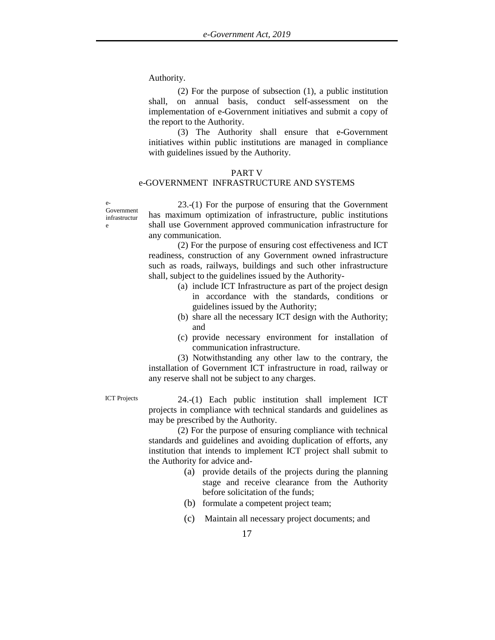Authority.

(2) For the purpose of subsection (1), a public institution shall, on annual basis, conduct self-assessment on the implementation of e-Government initiatives and submit a copy of the report to the Authority.

(3) The Authority shall ensure that e-Government initiatives within public institutions are managed in compliance with guidelines issued by the Authority.

#### PART V

## e-GOVERNMENT INFRASTRUCTURE AND SYSTEMS

infrastructur 23.-(1) For the purpose of ensuring that the Government has maximum optimization of infrastructure, public institutions shall use Government approved communication infrastructure for any communication.

(2) For the purpose of ensuring cost effectiveness and ICT readiness, construction of any Government owned infrastructure such as roads, railways, buildings and such other infrastructure shall, subject to the guidelines issued by the Authority-

- (a) include ICT Infrastructure as part of the project design in accordance with the standards, conditions or guidelines issued by the Authority;
- (b) share all the necessary ICT design with the Authority; and
- (c) provide necessary environment for installation of communication infrastructure.

(3) Notwithstanding any other law to the contrary, the installation of Government ICT infrastructure in road, railway or any reserve shall not be subject to any charges.

e-

e

Government

ICT Projects 24.-(1) Each public institution shall implement ICT projects in compliance with technical standards and guidelines as may be prescribed by the Authority.

> (2) For the purpose of ensuring compliance with technical standards and guidelines and avoiding duplication of efforts, any institution that intends to implement ICT project shall submit to the Authority for advice and-

- (a) provide details of the projects during the planning stage and receive clearance from the Authority before solicitation of the funds;
- (b) formulate a competent project team;
- (c) Maintain all necessary project documents; and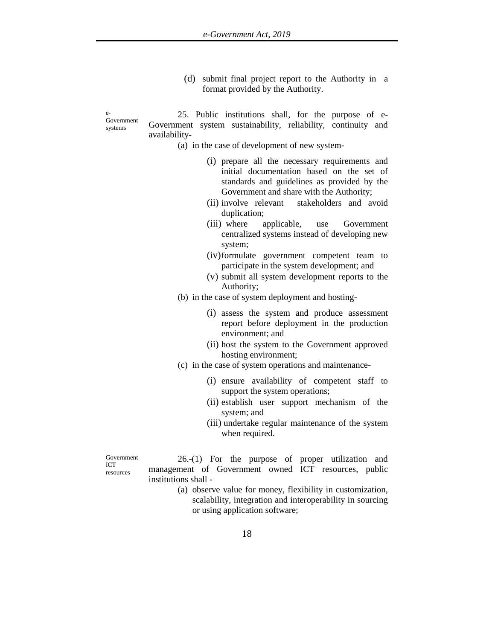(d) submit final project report to the Authority in a format provided by the Authority.

Government systems

e-

25. Public institutions shall, for the purpose of e-Government system sustainability, reliability, continuity and availability-

- (a) in the case of development of new system-
	- (i) prepare all the necessary requirements and initial documentation based on the set of standards and guidelines as provided by the Government and share with the Authority;
	- (ii) involve relevant stakeholders and avoid duplication;
	- (iii) where applicable, use Government centralized systems instead of developing new system;
	- (iv)formulate government competent team to participate in the system development; and
	- (v) submit all system development reports to the Authority;
- (b) in the case of system deployment and hosting-
	- (i) assess the system and produce assessment report before deployment in the production environment; and
	- (ii) host the system to the Government approved hosting environment;
- (c) in the case of system operations and maintenance-
	- (i) ensure availability of competent staff to support the system operations;
	- (ii) establish user support mechanism of the system; and
	- (iii) undertake regular maintenance of the system when required.

Government ICT resources

26.-(1) For the purpose of proper utilization and management of Government owned ICT resources, public institutions shall -

> (a) observe value for money, flexibility in customization, scalability, integration and interoperability in sourcing or using application software;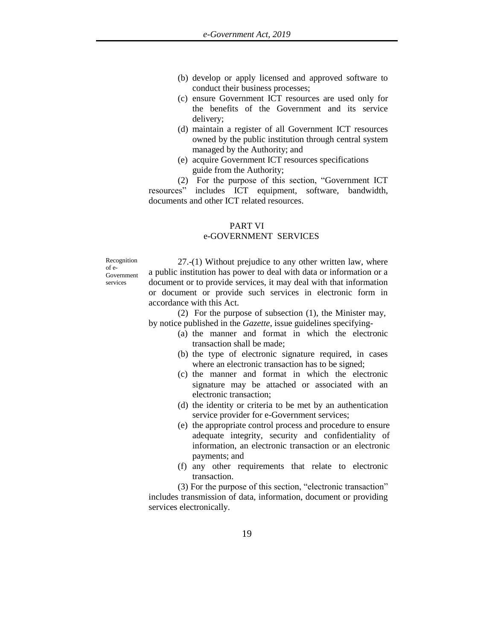- (b) develop or apply licensed and approved software to conduct their business processes;
- (c) ensure Government ICT resources are used only for the benefits of the Government and its service delivery;
- (d) maintain a register of all Government ICT resources owned by the public institution through central system managed by the Authority; and
- (e) acquire Government ICT resources specifications guide from the Authority;

(2) For the purpose of this section, "Government ICT resources" includes ICT equipment, software, bandwidth, documents and other ICT related resources.

## PART VI

## e-GOVERNMENT SERVICES

Recognition of e-Government services

27.-(1) Without prejudice to any other written law, where a public institution has power to deal with data or information or a document or to provide services, it may deal with that information or document or provide such services in electronic form in accordance with this Act.

(2) For the purpose of subsection (1), the Minister may, by notice published in the *Gazette,* issue guidelines specifying-

- (a) the manner and format in which the electronic transaction shall be made;
- (b) the type of electronic signature required, in cases where an electronic transaction has to be signed;
- (c) the manner and format in which the electronic signature may be attached or associated with an electronic transaction;
- (d) the identity or criteria to be met by an authentication service provider for e-Government services;
- (e) the appropriate control process and procedure to ensure adequate integrity, security and confidentiality of information, an electronic transaction or an electronic payments; and
- (f) any other requirements that relate to electronic transaction.

(3) For the purpose of this section, "electronic transaction" includes transmission of data, information, document or providing services electronically.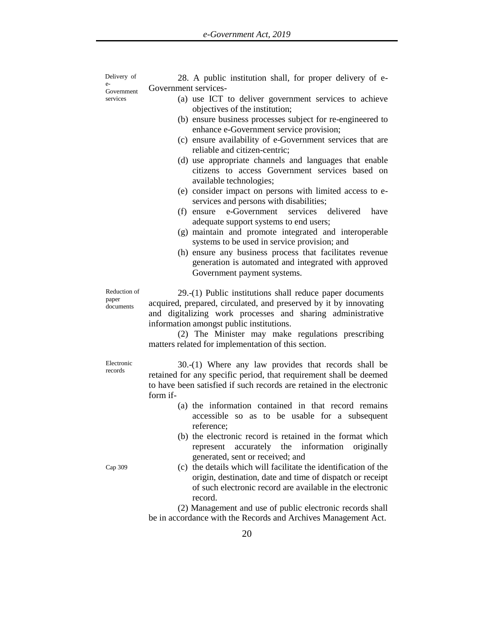Delivery of e-Government services

Government services- (a) use ICT to deliver government services to achieve

28. A public institution shall, for proper delivery of e-

objectives of the institution; (b) ensure business processes subject for re-engineered to enhance e-Government service provision; (c) ensure availability of e-Government services that are reliable and citizen-centric; (d) use appropriate channels and languages that enable citizens to access Government services based on available technologies; (e) consider impact on persons with limited access to eservices and persons with disabilities; (f) ensure e-Government services delivered have adequate support systems to end users; (g) maintain and promote integrated and interoperable systems to be used in service provision; and (h) ensure any business process that facilitates revenue generation is automated and integrated with approved Government payment systems. 29.-(1) Public institutions shall reduce paper documents

acquired, prepared, circulated, and preserved by it by innovating and digitalizing work processes and sharing administrative information amongst public institutions.

(2) The Minister may make regulations prescribing matters related for implementation of this section.

Electronic records

30.-(1) Where any law provides that records shall be retained for any specific period, that requirement shall be deemed to have been satisfied if such records are retained in the electronic form if-

- (a) the information contained in that record remains accessible so as to be usable for a subsequent reference;
- (b) the electronic record is retained in the format which represent accurately the information originally generated, sent or received; and
- (c) the details which will facilitate the identification of the origin, destination, date and time of dispatch or receipt of such electronic record are available in the electronic record.

(2) Management and use of public electronic records shall be in accordance with the Records and Archives Management Act.

Cap 309

Reduction of paper documents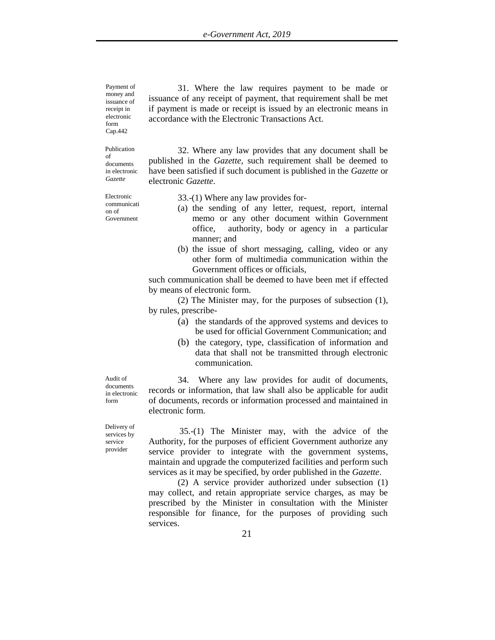Payment of money and issuance of receipt in electronic form Cap.442

Publication of documents in electronic *Gazette*

Electronic communicati on of Government

31. Where the law requires payment to be made or issuance of any receipt of payment, that requirement shall be met if payment is made or receipt is issued by an electronic means in accordance with the Electronic Transactions Act.

32. Where any law provides that any document shall be published in the *Gazette*, such requirement shall be deemed to have been satisfied if such document is published in the *Gazette* or electronic *Gazette*.

33.-(1) Where any law provides for-

- (a) the sending of any letter, request, report, internal memo or any other document within Government office, authority, body or agency in a particular manner; and
- (b) the issue of short messaging, calling, video or any other form of multimedia communication within the Government offices or officials,

such communication shall be deemed to have been met if effected by means of electronic form.

(2) The Minister may, for the purposes of subsection (1), by rules, prescribe-

- (a) the standards of the approved systems and devices to be used for official Government Communication; and
- (b) the category, type, classification of information and data that shall not be transmitted through electronic communication.

34. Where any law provides for audit of documents,

Audit of documents in electronic form

records or information, that law shall also be applicable for audit of documents, records or information processed and maintained in electronic form.

35.-(1) The Minister may, with the advice of the Authority, for the purposes of efficient Government authorize any service provider to integrate with the government systems, maintain and upgrade the computerized facilities and perform such services as it may be specified, by order published in the *Gazette*.

(2) A service provider authorized under subsection (1) may collect, and retain appropriate service charges, as may be prescribed by the Minister in consultation with the Minister responsible for finance, for the purposes of providing such services.

Delivery of services by service provider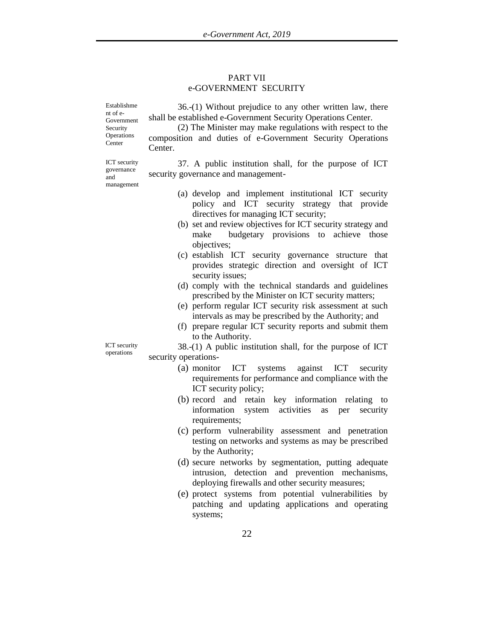#### PART VII e-GOVERNMENT SECURITY

Establishme nt of e-Government Security **Operations** Center

36.-(1) Without prejudice to any other written law, there shall be established e-Government Security Operations Center.

(2) The Minister may make regulations with respect to the composition and duties of e-Government Security Operations Center.

ICT security governance and management

37. A public institution shall, for the purpose of ICT security governance and management-

- (a) develop and implement institutional ICT security policy and ICT security strategy that provide directives for managing ICT security;
- (b) set and review objectives for ICT security strategy and make budgetary provisions to achieve those objectives;
- (c) establish ICT security governance structure that provides strategic direction and oversight of ICT security issues;
- (d) comply with the technical standards and guidelines prescribed by the Minister on ICT security matters;
- (e) perform regular ICT security risk assessment at such intervals as may be prescribed by the Authority; and
- (f) prepare regular ICT security reports and submit them to the Authority.

38.-(1) A public institution shall, for the purpose of ICT security operations-

- (a) monitor ICT systems against ICT security requirements for performance and compliance with the ICT security policy;
- (b) record and retain key information relating to information system activities as per security requirements;
- (c) perform vulnerability assessment and penetration testing on networks and systems as may be prescribed by the Authority;
- (d) secure networks by segmentation, putting adequate intrusion, detection and prevention mechanisms, deploying firewalls and other security measures;
- (e) protect systems from potential vulnerabilities by patching and updating applications and operating systems;

ICT security operations

22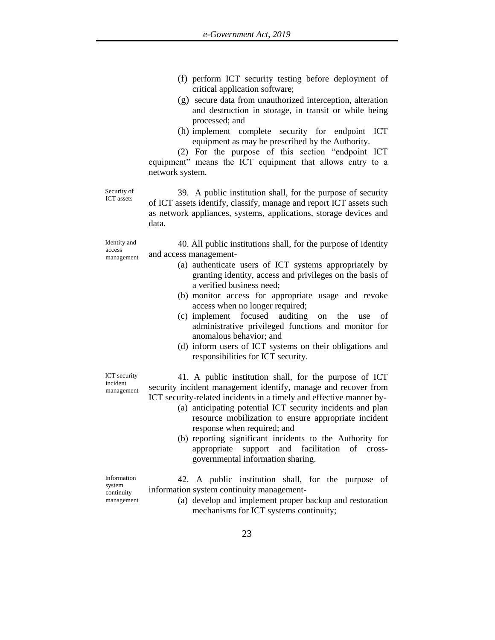- (f) perform ICT security testing before deployment of critical application software;
- (g) secure data from unauthorized interception, alteration and destruction in storage, in transit or while being processed; and
- (h) implement complete security for endpoint ICT equipment as may be prescribed by the Authority.

(2) For the purpose of this section "endpoint ICT equipment" means the ICT equipment that allows entry to a network system.

Security of ICT assets

39. A public institution shall, for the purpose of security of ICT assets identify, classify, manage and report ICT assets such as network appliances, systems, applications, storage devices and data.

Identity and access management

40. All public institutions shall, for the purpose of identity and access management-

- (a) authenticate users of ICT systems appropriately by granting identity, access and privileges on the basis of a verified business need;
- (b) monitor access for appropriate usage and revoke access when no longer required;
- (c) implement focused auditing on the use of administrative privileged functions and monitor for anomalous behavior; and
- (d) inform users of ICT systems on their obligations and responsibilities for ICT security.

ICT security incident management

41. A public institution shall, for the purpose of ICT security incident management identify, manage and recover from ICT security-related incidents in a timely and effective manner by-

- (a) anticipating potential ICT security incidents and plan resource mobilization to ensure appropriate incident response when required; and
- (b) reporting significant incidents to the Authority for appropriate support and facilitation of crossgovernmental information sharing.

Information system continuity management

42. A public institution shall, for the purpose of information system continuity management-

> (a) develop and implement proper backup and restoration mechanisms for ICT systems continuity;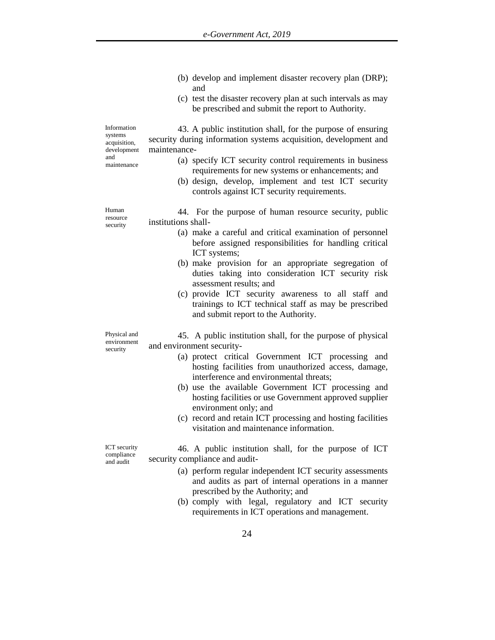|                                                                             | (b) develop and implement disaster recovery plan (DRP);<br>and                                                                                                                                               |
|-----------------------------------------------------------------------------|--------------------------------------------------------------------------------------------------------------------------------------------------------------------------------------------------------------|
|                                                                             | (c) test the disaster recovery plan at such intervals as may<br>be prescribed and submit the report to Authority.                                                                                            |
| Information<br>systems<br>acquisition,<br>development<br>and<br>maintenance | 43. A public institution shall, for the purpose of ensuring<br>security during information systems acquisition, development and<br>maintenance-<br>(a) specify ICT security control requirements in business |
|                                                                             | requirements for new systems or enhancements; and<br>(b) design, develop, implement and test ICT security<br>controls against ICT security requirements.                                                     |
| Human<br>resource<br>security                                               | 44. For the purpose of human resource security, public<br>institutions shall-                                                                                                                                |
|                                                                             | (a) make a careful and critical examination of personnel<br>before assigned responsibilities for handling critical<br>ICT systems;                                                                           |
|                                                                             | (b) make provision for an appropriate segregation of<br>duties taking into consideration ICT security risk<br>assessment results; and                                                                        |
|                                                                             | (c) provide ICT security awareness to all staff and<br>trainings to ICT technical staff as may be prescribed<br>and submit report to the Authority.                                                          |
| Physical and<br>environment<br>security                                     | 45. A public institution shall, for the purpose of physical<br>and environment security-                                                                                                                     |
|                                                                             | (a) protect critical Government ICT processing and<br>hosting facilities from unauthorized access, damage,<br>interference and environmental threats;                                                        |
|                                                                             | (b) use the available Government ICT processing and<br>hosting facilities or use Government approved supplier<br>environment only; and                                                                       |
|                                                                             | (c) record and retain ICT processing and hosting facilities<br>visitation and maintenance information.                                                                                                       |
| <b>ICT</b> security<br>compliance<br>and audit                              | 46. A public institution shall, for the purpose of ICT<br>security compliance and audit-                                                                                                                     |

compliance and audit

(a) perform regular independent ICT security assessments and audits as part of internal operations in a manner prescribed by the Authority; and

(b) comply with legal, regulatory and ICT security requirements in ICT operations and management.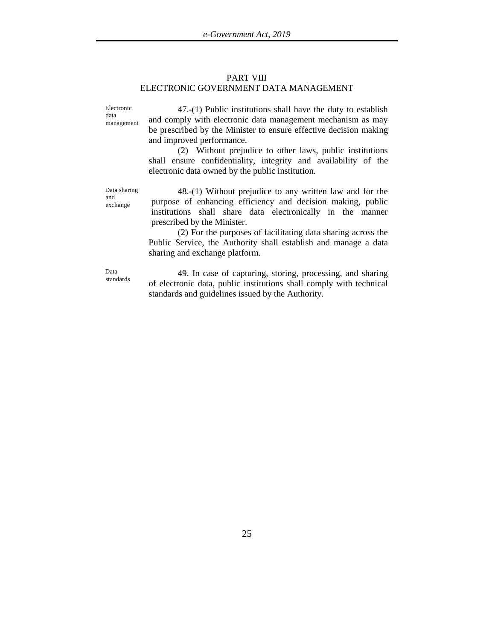#### PART VIII ELECTRONIC GOVERNMENT DATA MANAGEMENT

Electronic data management

47.-(1) Public institutions shall have the duty to establish and comply with electronic data management mechanism as may be prescribed by the Minister to ensure effective decision making and improved performance.

(2) Without prejudice to other laws, public institutions shall ensure confidentiality, integrity and availability of the electronic data owned by the public institution.

Data sharing and exchange

48.-(1) Without prejudice to any written law and for the purpose of enhancing efficiency and decision making, public institutions shall share data electronically in the manner prescribed by the Minister.

(2) For the purposes of facilitating data sharing across the Public Service, the Authority shall establish and manage a data sharing and exchange platform.

Data standards

49. In case of capturing, storing, processing, and sharing of electronic data, public institutions shall comply with technical standards and guidelines issued by the Authority.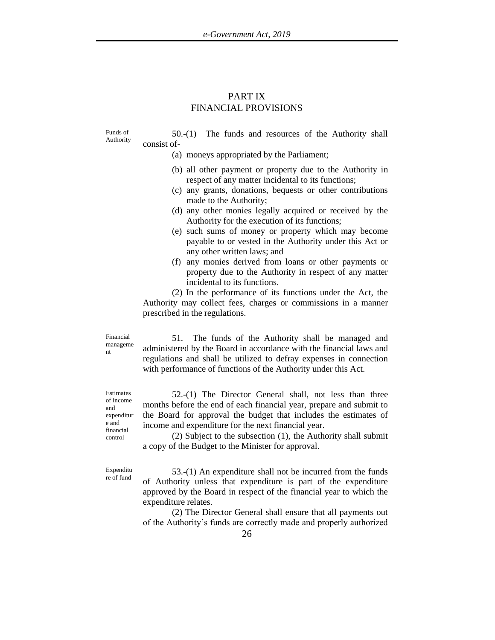## PART IX FINANCIAL PROVISIONS

Funds of Authority

50.-(1) The funds and resources of the Authority shall consist of-

- (a) moneys appropriated by the Parliament;
- (b) all other payment or property due to the Authority in respect of any matter incidental to its functions;
- (c) any grants, donations, bequests or other contributions made to the Authority;
- (d) any other monies legally acquired or received by the Authority for the execution of its functions;
- (e) such sums of money or property which may become payable to or vested in the Authority under this Act or any other written laws; and
- (f) any monies derived from loans or other payments or property due to the Authority in respect of any matter incidental to its functions.

(2) In the performance of its functions under the Act, the Authority may collect fees, charges or commissions in a manner prescribed in the regulations.

Financial manageme nt

51. The funds of the Authority shall be managed and administered by the Board in accordance with the financial laws and regulations and shall be utilized to defray expenses in connection with performance of functions of the Authority under this Act.

Estimates of income and expenditur e and financial control

52.-(1) The Director General shall, not less than three months before the end of each financial year, prepare and submit to the Board for approval the budget that includes the estimates of income and expenditure for the next financial year.

(2) Subject to the subsection (1), the Authority shall submit a copy of the Budget to the Minister for approval.

Expenditu re of fund

53.-(1) An expenditure shall not be incurred from the funds of Authority unless that expenditure is part of the expenditure approved by the Board in respect of the financial year to which the expenditure relates.

(2) The Director General shall ensure that all payments out of the Authority's funds are correctly made and properly authorized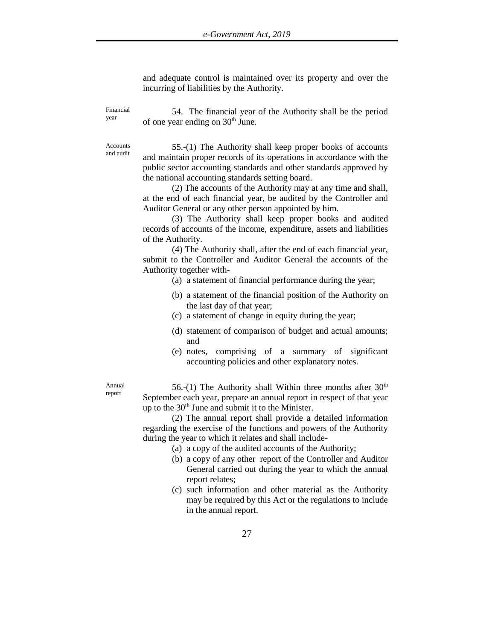and adequate control is maintained over its property and over the incurring of liabilities by the Authority.

Financial year

54. The financial year of the Authority shall be the period of one year ending on 30th June.

Accounts and audit

55.-(1) The Authority shall keep proper books of accounts and maintain proper records of its operations in accordance with the public sector accounting standards and other standards approved by the national accounting standards setting board.

(2) The accounts of the Authority may at any time and shall, at the end of each financial year, be audited by the Controller and Auditor General or any other person appointed by him.

(3) The Authority shall keep proper books and audited records of accounts of the income, expenditure, assets and liabilities of the Authority.

(4) The Authority shall, after the end of each financial year, submit to the Controller and Auditor General the accounts of the Authority together with-

- (a) a statement of financial performance during the year;
- (b) a statement of the financial position of the Authority on the last day of that year;
- (c) a statement of change in equity during the year;
- (d) statement of comparison of budget and actual amounts; and
- (e) notes, comprising of a summary of significant accounting policies and other explanatory notes.

Annual report

56.-(1) The Authority shall Within three months after  $30<sup>th</sup>$ September each year, prepare an annual report in respect of that year up to the  $30<sup>th</sup>$  June and submit it to the Minister.

(2) The annual report shall provide a detailed information regarding the exercise of the functions and powers of the Authority during the year to which it relates and shall include-

- (a) a copy of the audited accounts of the Authority;
- (b) a copy of any other report of the Controller and Auditor General carried out during the year to which the annual report relates;
- (c) such information and other material as the Authority may be required by this Act or the regulations to include in the annual report.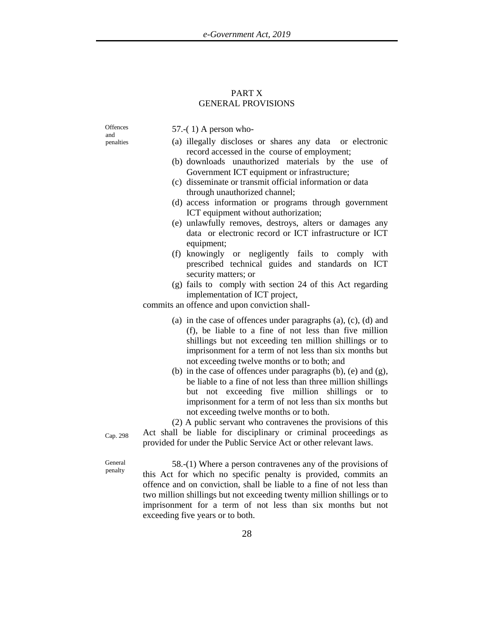## PART X GENERAL PROVISIONS

**Offences** and penalties

57.-( 1) A person who-

- (a) illegally discloses or shares any data or electronic record accessed in the course of employment;
- (b) downloads unauthorized materials by the use of Government ICT equipment or infrastructure;
- (c) disseminate or transmit official information or data through unauthorized channel;
- (d) access information or programs through government ICT equipment without authorization;
- (e) unlawfully removes, destroys, alters or damages any data or electronic record or ICT infrastructure or ICT equipment;
- (f) knowingly or negligently fails to comply with prescribed technical guides and standards on ICT security matters; or
- (g) fails to comply with section 24 of this Act regarding implementation of ICT project,

commits an offence and upon conviction shall-

- (a) in the case of offences under paragraphs (a), (c), (d) and (f), be liable to a fine of not less than five million shillings but not exceeding ten million shillings or to imprisonment for a term of not less than six months but not exceeding twelve months or to both; and
- (b) in the case of offences under paragraphs (b), (e) and (g), be liable to a fine of not less than three million shillings but not exceeding five million shillings or to imprisonment for a term of not less than six months but not exceeding twelve months or to both.

(2) A public servant who contravenes the provisions of this Act shall be liable for disciplinary or criminal proceedings as provided for under the Public Service Act or other relevant laws.

General penalty

Cap. 298

58.-(1) Where a person contravenes any of the provisions of this Act for which no specific penalty is provided, commits an offence and on conviction, shall be liable to a fine of not less than two million shillings but not exceeding twenty million shillings or to imprisonment for a term of not less than six months but not exceeding five years or to both.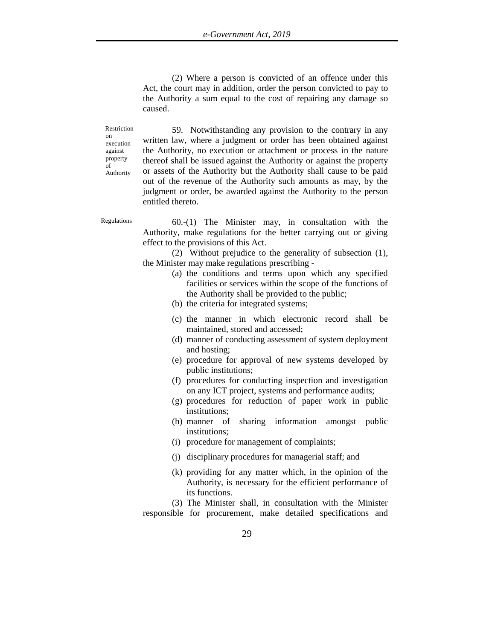(2) Where a person is convicted of an offence under this Act, the court may in addition, order the person convicted to pay to the Authority a sum equal to the cost of repairing any damage so caused.

Restriction on execution against property of Authority

59. Notwithstanding any provision to the contrary in any written law, where a judgment or order has been obtained against the Authority, no execution or attachment or process in the nature thereof shall be issued against the Authority or against the property or assets of the Authority but the Authority shall cause to be paid out of the revenue of the Authority such amounts as may, by the judgment or order, be awarded against the Authority to the person entitled thereto.

Regulations 60.-(1) The Minister may, in consultation with the Authority, make regulations for the better carrying out or giving effect to the provisions of this Act.

> (2) Without prejudice to the generality of subsection (1), the Minister may make regulations prescribing -

- (a) the conditions and terms upon which any specified facilities or services within the scope of the functions of the Authority shall be provided to the public;
- (b) the criteria for integrated systems;
- (c) the manner in which electronic record shall be maintained, stored and accessed;
- (d) manner of conducting assessment of system deployment and hosting;
- (e) procedure for approval of new systems developed by public institutions;
- (f) procedures for conducting inspection and investigation on any ICT project, systems and performance audits;
- (g) procedures for reduction of paper work in public institutions;
- (h) manner of sharing information amongst public institutions;
- (i) procedure for management of complaints;
- (j) disciplinary procedures for managerial staff; and
- (k) providing for any matter which, in the opinion of the Authority, is necessary for the efficient performance of its functions.

(3) The Minister shall, in consultation with the Minister responsible for procurement, make detailed specifications and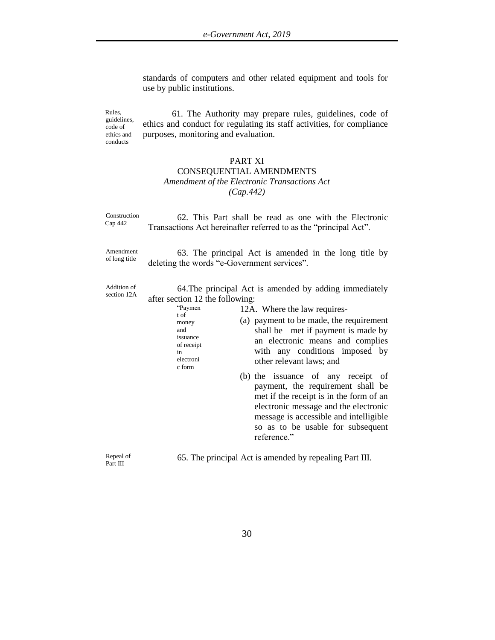standards of computers and other related equipment and tools for use by public institutions.

Rules, guidelines, code of ethics and conducts

61. The Authority may prepare rules, guidelines, code of ethics and conduct for regulating its staff activities, for compliance purposes, monitoring and evaluation.

## PART XI

## CONSEQUENTIAL AMENDMENTS *Amendment of the Electronic Transactions Act (Cap.442)*

| Construction               | 62. This Part shall be read as one with the Electronic                                                                                                                                                                                                                                                                                                                                                                                                                                                                                                                                                                                                              |
|----------------------------|---------------------------------------------------------------------------------------------------------------------------------------------------------------------------------------------------------------------------------------------------------------------------------------------------------------------------------------------------------------------------------------------------------------------------------------------------------------------------------------------------------------------------------------------------------------------------------------------------------------------------------------------------------------------|
| Cap 442                    | Transactions Act hereinafter referred to as the "principal Act".                                                                                                                                                                                                                                                                                                                                                                                                                                                                                                                                                                                                    |
| Amendment                  | 63. The principal Act is amended in the long title by                                                                                                                                                                                                                                                                                                                                                                                                                                                                                                                                                                                                               |
| of long title              | deleting the words "e-Government services".                                                                                                                                                                                                                                                                                                                                                                                                                                                                                                                                                                                                                         |
| Addition of<br>section 12A | 64. The principal Act is amended by adding immediately<br>after section 12 the following:<br>"Paymen<br>12A. Where the law requires-<br>t of<br>(a) payment to be made, the requirement<br>money<br>shall be met if payment is made by<br>and<br>issuance<br>an electronic means and complies<br>of receipt<br>with any conditions imposed by<br>in<br>electroni<br>other relevant laws; and<br>c form<br>(b) the issuance of any receipt of<br>payment, the requirement shall be<br>met if the receipt is in the form of an<br>electronic message and the electronic<br>message is accessible and intelligible<br>so as to be usable for subsequent<br>reference." |
| Repeal of<br>Part III      | 65. The principal Act is amended by repealing Part III.                                                                                                                                                                                                                                                                                                                                                                                                                                                                                                                                                                                                             |

30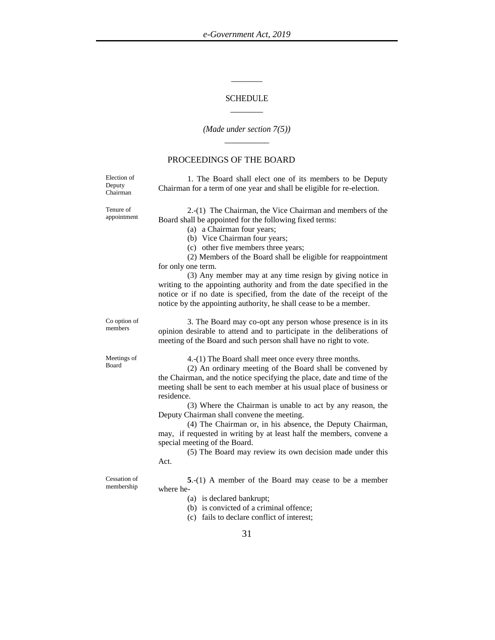## **SCHEDULE** \_\_\_\_\_\_\_\_

\_\_\_\_\_\_\_

#### *(Made under section 7(5)) \_\_\_\_\_\_\_\_\_\_*

#### PROCEEDINGS OF THE BOARD

Election of Deputy Chairman

1. The Board shall elect one of its members to be Deputy Chairman for a term of one year and shall be eligible for re-election.

Tenure of appointment

2.-(1) The Chairman, the Vice Chairman and members of the Board shall be appointed for the following fixed terms:

(a) a Chairman four years;

(b) Vice Chairman four years;

(c) other five members three years;

(2) Members of the Board shall be eligible for reappointment for only one term.

(3) Any member may at any time resign by giving notice in writing to the appointing authority and from the date specified in the notice or if no date is specified, from the date of the receipt of the notice by the appointing authority, he shall cease to be a member.

Co option of members

3. The Board may co-opt any person whose presence is in its opinion desirable to attend and to participate in the deliberations of meeting of the Board and such person shall have no right to vote.

Meetings of Board

4.-(1) The Board shall meet once every three months.

(2) An ordinary meeting of the Board shall be convened by the Chairman, and the notice specifying the place, date and time of the meeting shall be sent to each member at his usual place of business or residence.

(3) Where the Chairman is unable to act by any reason, the Deputy Chairman shall convene the meeting.

(4) The Chairman or, in his absence, the Deputy Chairman, may, if requested in writing by at least half the members, convene a special meeting of the Board.

(5) The Board may review its own decision made under this Act.

Cessation of membership

**5**.-(1) A member of the Board may cease to be a member where he-

- (a) is declared bankrupt;
- (b) is convicted of a criminal offence;

(c) fails to declare conflict of interest;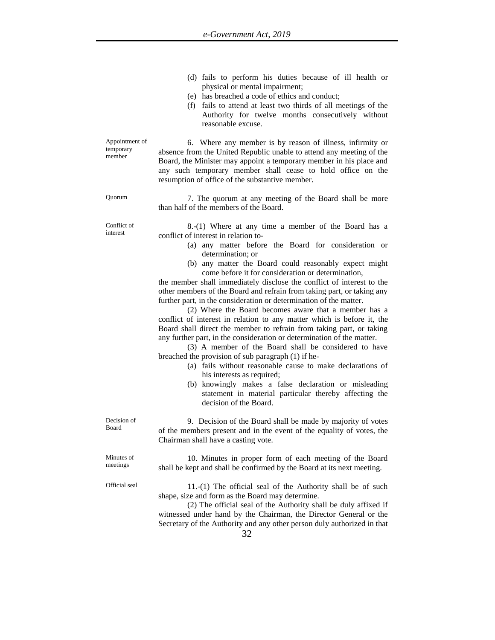|                                       | (d) fails to perform his duties because of ill health or<br>physical or mental impairment;<br>(e) has breached a code of ethics and conduct;<br>(f) fails to attend at least two thirds of all meetings of the<br>Authority for twelve months consecutively without<br>reasonable excuse.                                                                                                                                                                                                                                                                                                                                                                                                                                                                                                                                                                                                                                                                                                                                                                                                                                                                       |
|---------------------------------------|-----------------------------------------------------------------------------------------------------------------------------------------------------------------------------------------------------------------------------------------------------------------------------------------------------------------------------------------------------------------------------------------------------------------------------------------------------------------------------------------------------------------------------------------------------------------------------------------------------------------------------------------------------------------------------------------------------------------------------------------------------------------------------------------------------------------------------------------------------------------------------------------------------------------------------------------------------------------------------------------------------------------------------------------------------------------------------------------------------------------------------------------------------------------|
| Appointment of<br>temporary<br>member | 6. Where any member is by reason of illness, infirmity or<br>absence from the United Republic unable to attend any meeting of the<br>Board, the Minister may appoint a temporary member in his place and<br>any such temporary member shall cease to hold office on the<br>resumption of office of the substantive member.                                                                                                                                                                                                                                                                                                                                                                                                                                                                                                                                                                                                                                                                                                                                                                                                                                      |
| Quorum                                | 7. The quorum at any meeting of the Board shall be more<br>than half of the members of the Board.                                                                                                                                                                                                                                                                                                                                                                                                                                                                                                                                                                                                                                                                                                                                                                                                                                                                                                                                                                                                                                                               |
| Conflict of<br>interest               | 8.-(1) Where at any time a member of the Board has a<br>conflict of interest in relation to-<br>(a) any matter before the Board for consideration or<br>determination; or<br>(b) any matter the Board could reasonably expect might<br>come before it for consideration or determination,<br>the member shall immediately disclose the conflict of interest to the<br>other members of the Board and refrain from taking part, or taking any<br>further part, in the consideration or determination of the matter.<br>(2) Where the Board becomes aware that a member has a<br>conflict of interest in relation to any matter which is before it, the<br>Board shall direct the member to refrain from taking part, or taking<br>any further part, in the consideration or determination of the matter.<br>(3) A member of the Board shall be considered to have<br>breached the provision of sub paragraph (1) if he-<br>(a) fails without reasonable cause to make declarations of<br>his interests as required;<br>(b) knowingly makes a false declaration or misleading<br>statement in material particular thereby affecting the<br>decision of the Board. |
| Decision of<br>Board                  | 9. Decision of the Board shall be made by majority of votes<br>of the members present and in the event of the equality of votes, the<br>Chairman shall have a casting vote.                                                                                                                                                                                                                                                                                                                                                                                                                                                                                                                                                                                                                                                                                                                                                                                                                                                                                                                                                                                     |
| Minutes of<br>meetings                | 10. Minutes in proper form of each meeting of the Board<br>shall be kept and shall be confirmed by the Board at its next meeting.                                                                                                                                                                                                                                                                                                                                                                                                                                                                                                                                                                                                                                                                                                                                                                                                                                                                                                                                                                                                                               |
| Official seal                         | $11-(1)$ The official seal of the Authority shall be of such<br>shape, size and form as the Board may determine.                                                                                                                                                                                                                                                                                                                                                                                                                                                                                                                                                                                                                                                                                                                                                                                                                                                                                                                                                                                                                                                |

(2) The official seal of the Authority shall be duly affixed if witnessed under hand by the Chairman, the Director General or the Secretary of the Authority and any other person duly authorized in that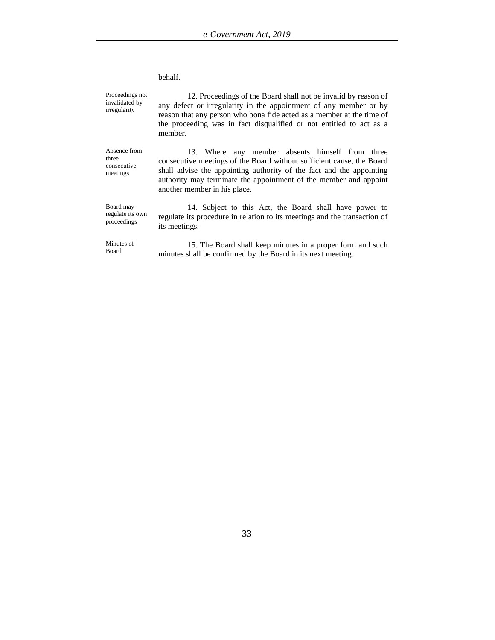#### behalf.

Proceedings not invalidated by irregularity 12. Proceedings of the Board shall not be invalid by reason of any defect or irregularity in the appointment of any member or by reason that any person who bona fide acted as a member at the time of the proceeding was in fact disqualified or not entitled to act as a member. Absence from three consecutive meetings 13. Where any member absents himself from three consecutive meetings of the Board without sufficient cause, the Board shall advise the appointing authority of the fact and the appointing authority may terminate the appointment of the member and appoint another member in his place. Board may regulate its own proceedings 14. Subject to this Act, the Board shall have power to regulate its procedure in relation to its meetings and the transaction of its meetings. Minutes of Board 15. The Board shall keep minutes in a proper form and such minutes shall be confirmed by the Board in its next meeting.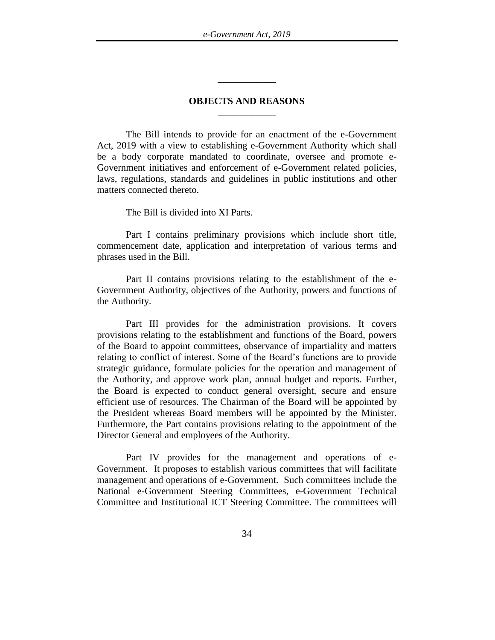## **OBJECTS AND REASONS** \_\_\_\_\_\_\_\_\_\_\_\_

\_\_\_\_\_\_\_\_\_\_\_\_

The Bill intends to provide for an enactment of the e-Government Act, 2019 with a view to establishing e-Government Authority which shall be a body corporate mandated to coordinate, oversee and promote e-Government initiatives and enforcement of e-Government related policies, laws, regulations, standards and guidelines in public institutions and other matters connected thereto.

## The Bill is divided into XI Parts.

Part I contains preliminary provisions which include short title, commencement date, application and interpretation of various terms and phrases used in the Bill.

Part II contains provisions relating to the establishment of the e-Government Authority, objectives of the Authority, powers and functions of the Authority.

Part III provides for the administration provisions. It covers provisions relating to the establishment and functions of the Board, powers of the Board to appoint committees, observance of impartiality and matters relating to conflict of interest. Some of the Board's functions are to provide strategic guidance, formulate policies for the operation and management of the Authority, and approve work plan, annual budget and reports. Further, the Board is expected to conduct general oversight, secure and ensure efficient use of resources. The Chairman of the Board will be appointed by the President whereas Board members will be appointed by the Minister. Furthermore, the Part contains provisions relating to the appointment of the Director General and employees of the Authority.

Part IV provides for the management and operations of e-Government. It proposes to establish various committees that will facilitate management and operations of e-Government. Such committees include the National e-Government Steering Committees, e-Government Technical Committee and Institutional ICT Steering Committee. The committees will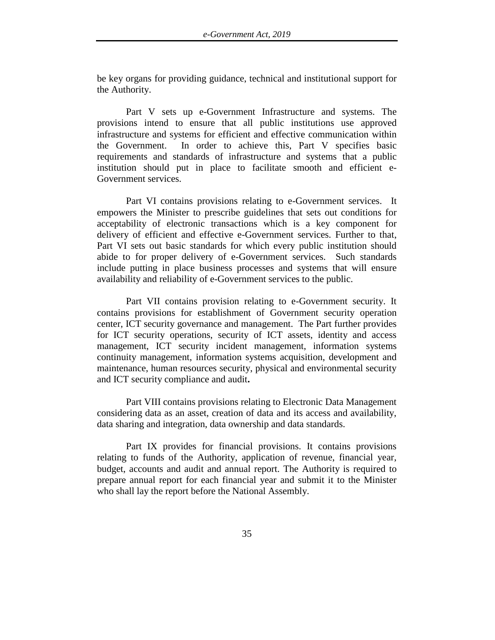be key organs for providing guidance, technical and institutional support for the Authority.

Part V sets up e-Government Infrastructure and systems. The provisions intend to ensure that all public institutions use approved infrastructure and systems for efficient and effective communication within the Government. In order to achieve this, Part V specifies basic requirements and standards of infrastructure and systems that a public institution should put in place to facilitate smooth and efficient e-Government services.

Part VI contains provisions relating to e-Government services. It empowers the Minister to prescribe guidelines that sets out conditions for acceptability of electronic transactions which is a key component for delivery of efficient and effective e-Government services. Further to that, Part VI sets out basic standards for which every public institution should abide to for proper delivery of e-Government services. Such standards include putting in place business processes and systems that will ensure availability and reliability of e-Government services to the public.

Part VII contains provision relating to e-Government security. It contains provisions for establishment of Government security operation center, ICT security governance and management. The Part further provides for ICT security operations, security of ICT assets, identity and access management, ICT security incident management, information systems continuity management, information systems acquisition, development and maintenance, human resources security, physical and environmental security and ICT security compliance and audit**.** 

Part VIII contains provisions relating to Electronic Data Management considering data as an asset, creation of data and its access and availability, data sharing and integration, data ownership and data standards.

Part IX provides for financial provisions. It contains provisions relating to funds of the Authority, application of revenue, financial year, budget, accounts and audit and annual report. The Authority is required to prepare annual report for each financial year and submit it to the Minister who shall lay the report before the National Assembly.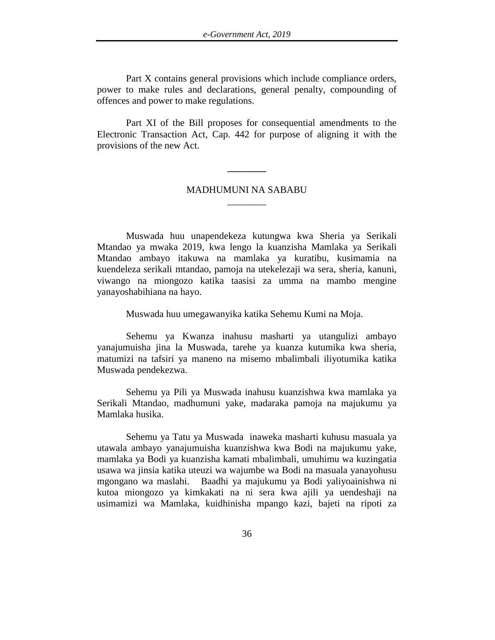Part X contains general provisions which include compliance orders, power to make rules and declarations, general penalty, compounding of offences and power to make regulations.

Part XI of the Bill proposes for consequential amendments to the Electronic Transaction Act, Cap. 442 for purpose of aligning it with the provisions of the new Act.

## MADHUMUNI NA SABABU \_\_\_\_\_\_\_\_

**\_\_\_\_\_\_\_\_**

Muswada huu unapendekeza kutungwa kwa Sheria ya Serikali Mtandao ya mwaka 2019, kwa lengo la kuanzisha Mamlaka ya Serikali Mtandao ambayo itakuwa na mamlaka ya kuratibu, kusimamia na kuendeleza serikali mtandao, pamoja na utekelezaji wa sera, sheria, kanuni, viwango na miongozo katika taasisi za umma na mambo mengine yanayoshabihiana na hayo.

Muswada huu umegawanyika katika Sehemu Kumi na Moja.

Sehemu ya Kwanza inahusu masharti ya utangulizi ambayo yanajumuisha jina la Muswada, tarehe ya kuanza kutumika kwa sheria, matumizi na tafsiri ya maneno na misemo mbalimbali iliyotumika katika Muswada pendekezwa.

Sehemu ya Pili ya Muswada inahusu kuanzishwa kwa mamlaka ya Serikali Mtandao, madhumuni yake, madaraka pamoja na majukumu ya Mamlaka husika.

Sehemu ya Tatu ya Muswada inaweka masharti kuhusu masuala ya utawala ambayo yanajumuisha kuanzishwa kwa Bodi na majukumu yake, mamlaka ya Bodi ya kuanzisha kamati mbalimbali, umuhimu wa kuzingatia usawa wa jinsia katika uteuzi wa wajumbe wa Bodi na masuala yanayohusu mgongano wa maslahi. Baadhi ya majukumu ya Bodi yaliyoainishwa ni kutoa miongozo ya kimkakati na ni sera kwa ajili ya uendeshaji na usimamizi wa Mamlaka, kuidhinisha mpango kazi, bajeti na ripoti za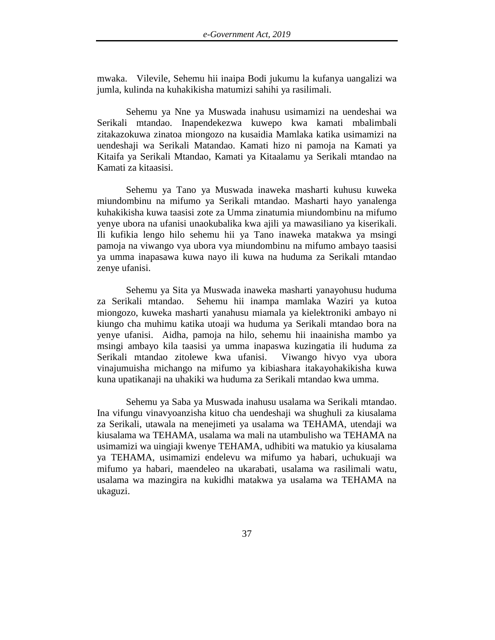mwaka. Vilevile, Sehemu hii inaipa Bodi jukumu la kufanya uangalizi wa jumla, kulinda na kuhakikisha matumizi sahihi ya rasilimali.

Sehemu ya Nne ya Muswada inahusu usimamizi na uendeshai wa Serikali mtandao. Inapendekezwa kuwepo kwa kamati mbalimbali zitakazokuwa zinatoa miongozo na kusaidia Mamlaka katika usimamizi na uendeshaji wa Serikali Matandao. Kamati hizo ni pamoja na Kamati ya Kitaifa ya Serikali Mtandao, Kamati ya Kitaalamu ya Serikali mtandao na Kamati za kitaasisi.

Sehemu ya Tano ya Muswada inaweka masharti kuhusu kuweka miundombinu na mifumo ya Serikali mtandao. Masharti hayo yanalenga kuhakikisha kuwa taasisi zote za Umma zinatumia miundombinu na mifumo yenye ubora na ufanisi unaokubalika kwa ajili ya mawasiliano ya kiserikali. Ili kufikia lengo hilo sehemu hii ya Tano inaweka matakwa ya msingi pamoja na viwango vya ubora vya miundombinu na mifumo ambayo taasisi ya umma inapasawa kuwa nayo ili kuwa na huduma za Serikali mtandao zenye ufanisi.

Sehemu ya Sita ya Muswada inaweka masharti yanayohusu huduma za Serikali mtandao. Sehemu hii inampa mamlaka Waziri ya kutoa miongozo, kuweka masharti yanahusu miamala ya kielektroniki ambayo ni kiungo cha muhimu katika utoaji wa huduma ya Serikali mtandao bora na yenye ufanisi. Aidha, pamoja na hilo, sehemu hii inaainisha mambo ya msingi ambayo kila taasisi ya umma inapaswa kuzingatia ili huduma za Serikali mtandao zitolewe kwa ufanisi. Viwango hivyo vya ubora vinajumuisha michango na mifumo ya kibiashara itakayohakikisha kuwa kuna upatikanaji na uhakiki wa huduma za Serikali mtandao kwa umma.

Sehemu ya Saba ya Muswada inahusu usalama wa Serikali mtandao. Ina vifungu vinavyoanzisha kituo cha uendeshaji wa shughuli za kiusalama za Serikali, utawala na menejimeti ya usalama wa TEHAMA, utendaji wa kiusalama wa TEHAMA, usalama wa mali na utambulisho wa TEHAMA na usimamizi wa uingiaji kwenye TEHAMA, udhibiti wa matukio ya kiusalama ya TEHAMA, usimamizi endelevu wa mifumo ya habari, uchukuaji wa mifumo ya habari, maendeleo na ukarabati, usalama wa rasilimali watu, usalama wa mazingira na kukidhi matakwa ya usalama wa TEHAMA na ukaguzi.